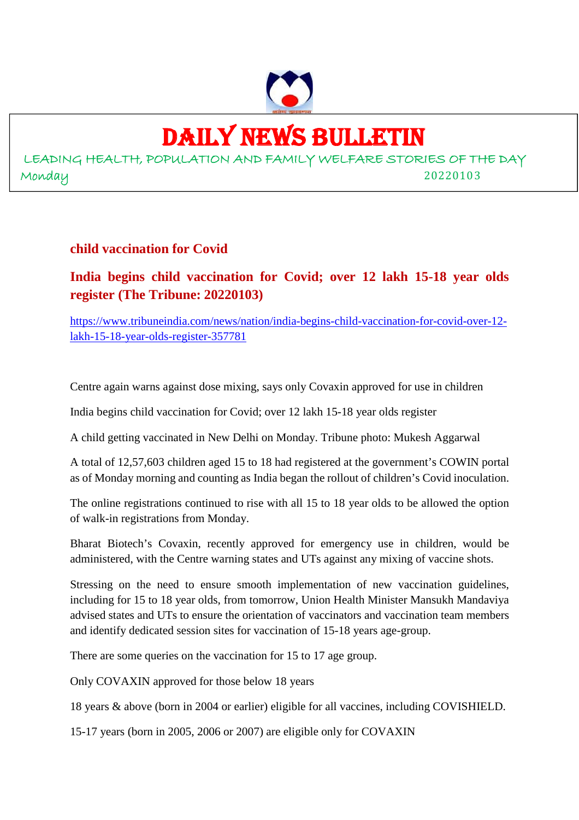

# DAILY NEWS BULLETIN

LEADING HEALTH, POPULATION AND FAMILY WELFARE STORIES OF THE DAY Monday 20220103

#### **child vaccination for Covid**

**India begins child vaccination for Covid; over 12 lakh 15-18 year olds register (The Tribune: 20220103)**

https://www.tribuneindia.com/news/nation/india-begins-child-vaccination-for-covid-over-12 lakh-15-18-year-olds-register-357781

Centre again warns against dose mixing, says only Covaxin approved for use in children

India begins child vaccination for Covid; over 12 lakh 15-18 year olds register

A child getting vaccinated in New Delhi on Monday. Tribune photo: Mukesh Aggarwal

A total of 12,57,603 children aged 15 to 18 had registered at the government's COWIN portal as of Monday morning and counting as India began the rollout of children's Covid inoculation.

The online registrations continued to rise with all 15 to 18 year olds to be allowed the option of walk-in registrations from Monday.

Bharat Biotech's Covaxin, recently approved for emergency use in children, would be administered, with the Centre warning states and UTs against any mixing of vaccine shots.

Stressing on the need to ensure smooth implementation of new vaccination guidelines, including for 15 to 18 year olds, from tomorrow, Union Health Minister Mansukh Mandaviya advised states and UTs to ensure the orientation of vaccinators and vaccination team members and identify dedicated session sites for vaccination of 15-18 years age-group.

There are some queries on the vaccination for 15 to 17 age group.

Only COVAXIN approved for those below 18 years

18 years & above (born in 2004 or earlier) eligible for all vaccines, including COVISHIELD.

15-17 years (born in 2005, 2006 or 2007) are eligible only for COVAXIN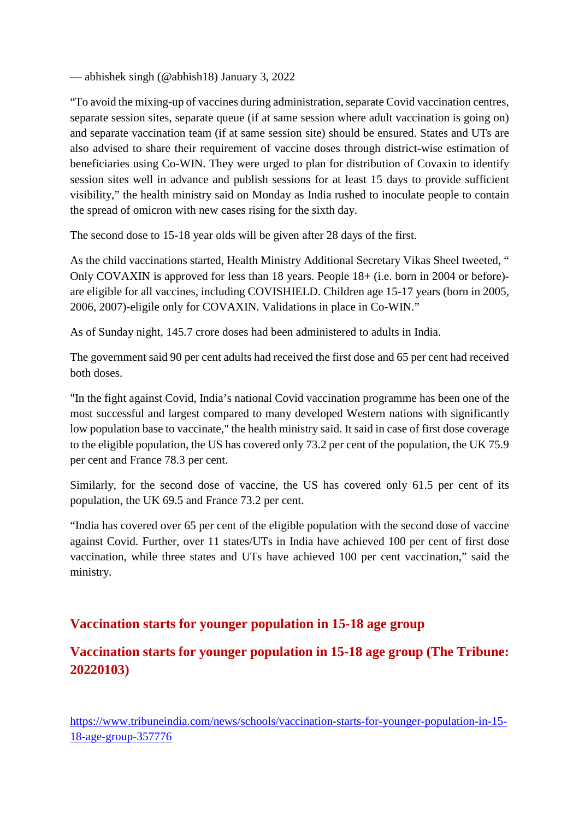— abhishek singh (@abhish18) January 3, 2022

"To avoid the mixing-up of vaccines during administration, separate Covid vaccination centres, separate session sites, separate queue (if at same session where adult vaccination is going on) and separate vaccination team (if at same session site) should be ensured. States and UTs are also advised to share their requirement of vaccine doses through district-wise estimation of beneficiaries using Co-WIN. They were urged to plan for distribution of Covaxin to identify session sites well in advance and publish sessions for at least 15 days to provide sufficient visibility," the health ministry said on Monday as India rushed to inoculate people to contain the spread of omicron with new cases rising for the sixth day.

The second dose to 15-18 year olds will be given after 28 days of the first.

As the child vaccinations started, Health Ministry Additional Secretary Vikas Sheel tweeted, " Only COVAXIN is approved for less than 18 years. People 18+ (i.e. born in 2004 or before) are eligible for all vaccines, including COVISHIELD. Children age 15-17 years (born in 2005, 2006, 2007)-eligile only for COVAXIN. Validations in place in Co-WIN."

As of Sunday night, 145.7 crore doses had been administered to adults in India.

The government said 90 per cent adults had received the first dose and 65 per cent had received both doses.

"In the fight against Covid, India's national Covid vaccination programme has been one of the most successful and largest compared to many developed Western nations with significantly low population base to vaccinate," the health ministry said. It said in case of first dose coverage to the eligible population, the US has covered only 73.2 per cent of the population, the UK 75.9 per cent and France 78.3 per cent.

Similarly, for the second dose of vaccine, the US has covered only 61.5 per cent of its population, the UK 69.5 and France 73.2 per cent.

"India has covered over 65 per cent of the eligible population with the second dose of vaccine against Covid. Further, over 11 states/UTs in India have achieved 100 per cent of first dose vaccination, while three states and UTs have achieved 100 per cent vaccination," said the ministry.

# **Vaccination starts for younger population in 15-18 age group**

**Vaccination starts for younger population in 15-18 age group (The Tribune: 20220103)**

https://www.tribuneindia.com/news/schools/vaccination-starts-for-younger-population-in-15- 18-age-group-357776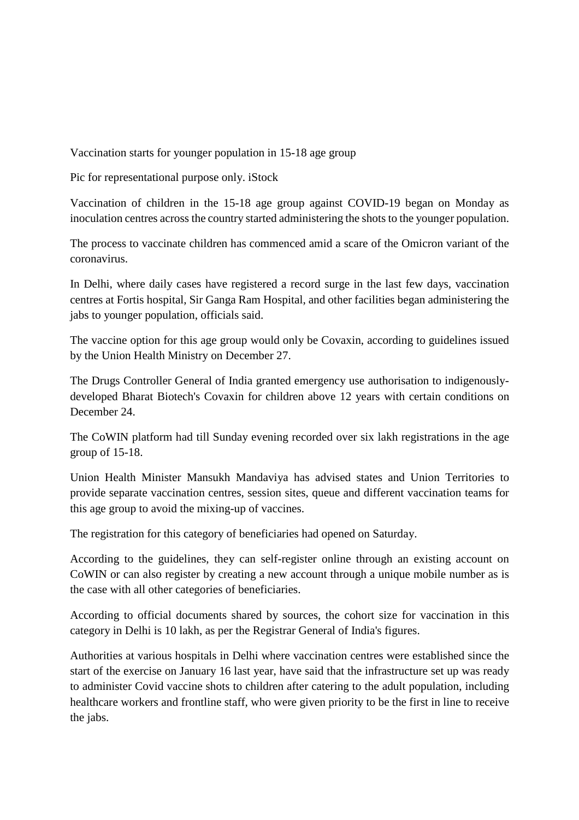Vaccination starts for younger population in 15-18 age group

Pic for representational purpose only. iStock

Vaccination of children in the 15-18 age group against COVID-19 began on Monday as inoculation centres across the country started administering the shots to the younger population.

The process to vaccinate children has commenced amid a scare of the Omicron variant of the coronavirus.

In Delhi, where daily cases have registered a record surge in the last few days, vaccination centres at Fortis hospital, Sir Ganga Ram Hospital, and other facilities began administering the jabs to younger population, officials said.

The vaccine option for this age group would only be Covaxin, according to guidelines issued by the Union Health Ministry on December 27.

The Drugs Controller General of India granted emergency use authorisation to indigenouslydeveloped Bharat Biotech's Covaxin for children above 12 years with certain conditions on December 24.

The CoWIN platform had till Sunday evening recorded over six lakh registrations in the age group of 15-18.

Union Health Minister Mansukh Mandaviya has advised states and Union Territories to provide separate vaccination centres, session sites, queue and different vaccination teams for this age group to avoid the mixing-up of vaccines.

The registration for this category of beneficiaries had opened on Saturday.

According to the guidelines, they can self-register online through an existing account on CoWIN or can also register by creating a new account through a unique mobile number as is the case with all other categories of beneficiaries.

According to official documents shared by sources, the cohort size for vaccination in this category in Delhi is 10 lakh, as per the Registrar General of India's figures.

Authorities at various hospitals in Delhi where vaccination centres were established since the start of the exercise on January 16 last year, have said that the infrastructure set up was ready to administer Covid vaccine shots to children after catering to the adult population, including healthcare workers and frontline staff, who were given priority to be the first in line to receive the jabs.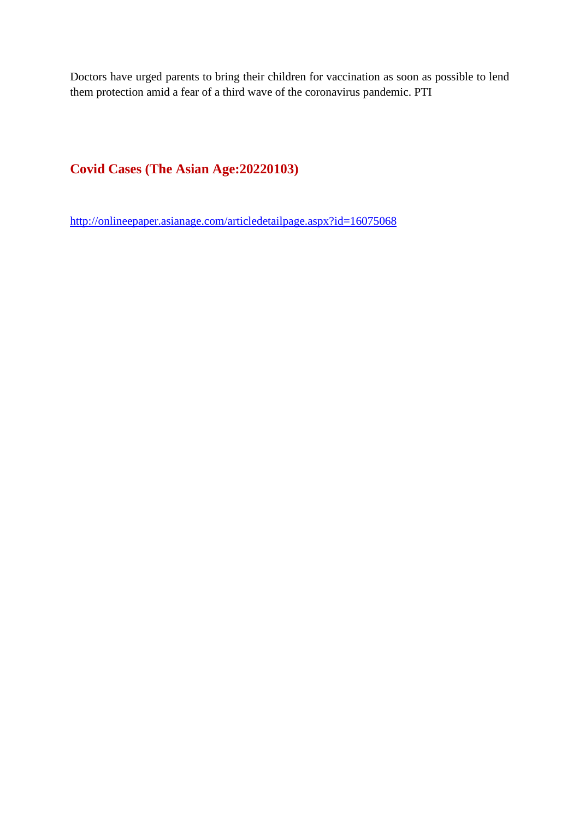Doctors have urged parents to bring their children for vaccination as soon as possible to lend them protection amid a fear of a third wave of the coronavirus pandemic. PTI

# **Covid Cases (The Asian Age:20220103)**

http://onlineepaper.asianage.com/articledetailpage.aspx?id=16075068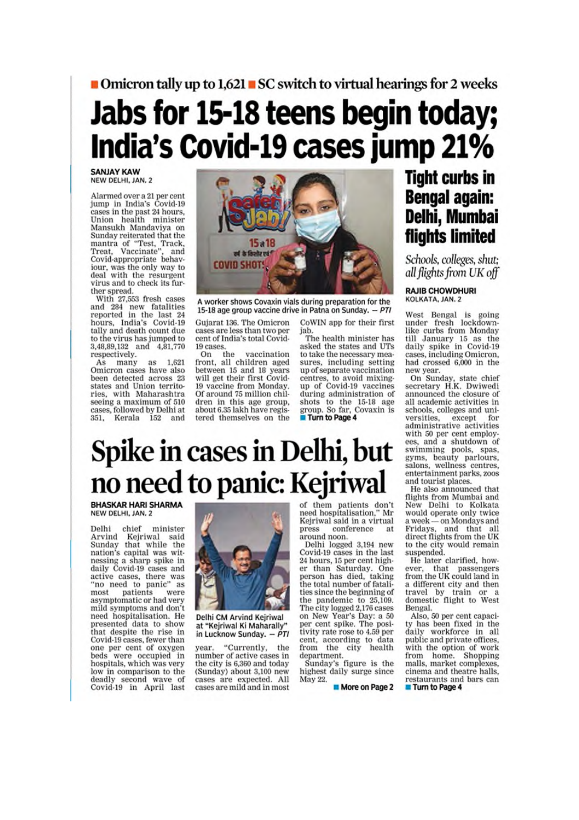# ■ Omicron tally up to 1,621 ■ SC switch to virtual hearings for 2 weeks

# Jabs for 15-18 teens begin today; India's Covid-19 cases jump 21%

**SANJAY KAW** NEW DELHI, JAN. 2

Alarmed over a 21 per cent Fiamp in India's Covid-19<br>cases in the past 24 hours,<br>Union health minister<br>Mansukh Mandaviya on Sunday reiterated that the mantra of "Test, Track,<br>Treat, Vaccinate", and Covid-appropriate behaviour, was the only way to deal with the resurgent virus and to check its fur-

ther spread.<br>With 27,553 fresh cases and 284 new fatalities<br>reported in the last 24 hours, India's Covid-19 tally and death count due to the virus has jumped to 3,48,89,132 and 4,81,770 respectively.

As many as 1,621 Omicron cases have also been detected across 23<br>states and Union territories, with Maharashtra seeing a maximum of 510 cases, followed by Delhi at 152 and Kerala



A worker shows Covaxin vials during preparation for the 15-18 age group vaccine drive in Patna on Sunday. - PTI

Gujarat 136. The Omicron cases are less than two per cent of India's total Covid-19 cases

On the vaccination<br>front, all children aged between 15 and 18 years will get their first Covid-19 vaccine from Monday. Of around 75 million children in this age group, about 6.35 lakh have registered themselves on the jab. The health minister has asked the states and UTs to take the necessary measures, including setting up of separate vaccination centres, to avoid mixing-<br>up of Covid-19 vaccines during administration of shots to the 15-18 age

group. So far, Covaxin is

Turn to Page 4

CoWIN app for their first

**Tight curbs in Bengal again:** Delhi, Mumbai flights limited

Schools, colleges, shut; all flights from UK off

**RAJIB CHOWDHURI** KOLKATA, JAN. 2

West Bengal is going<br>under fresh lockdownlike curbs from Monday till January 15 as the<br>daily spike in Covid-19 cases, including Omicron, had crossed 6,000 in the new year.

On Sunday, state chief<br>secretary H.K. Dwiwedi announced the closure of all academic activities in schools, colleges and universities, except administrative activities with 50 per cent employ-<br>ees, and a shutdown of swimming pools, spas, gyms, beauty parlours,<br>salons, wellness centres, entertainment parks, zoos and tourist places.

He also announced that flights from Mumbai and New Delhi to Kolkata would operate only twice a week - on Mondays and Fridays, and that all<br>direct flights from the UK to the city would remain suspended.

He later clarified, however, that passengers<br>from the UK could land in a different city and then travel by train or a domestic flight to West Bengal.

Also, 50 per cent capaci-<br>ty has been fixed in the daily workforce in all public and private offices. with the option of work from home. Shopping malls, market complexes, cinema and theatre halls, restaurants and bars can Turn to Page 4

# Spike in cases in Delhi, but no need to panic: Kejriwal

**BHASKAR HARI SHARMA** NEW DELHI, JAN. 2

Delhi chief minister<br>Arvind Kejriwal said<br>Sunday that while the nation's capital was witnessing a sharp spike in daily Covid-19 cases and active cases, there was<br>"no need to panic" as patients most were asymptomatic or had very mild symptoms and don't need hospitalisation. He presented data to show<br>that despite the rise in Covid-19 cases, fewer than one per cent of oxygen were occupied in beds hospitals, which was very low in comparison to the deadly second wave of Covid-19 in April last



Delhi CM Arvind Kejriwal at "Kejriwal Ki Maharally" in Lucknow Sunday. - PTI

"Currently, the vear. number of active cases in the city is 6,360 and today (Sunday) about 3,100 new cases are expected. All cases are mild and in most

of them patients don't<br>need hospitalisation," Mr Kejriwal said in a virtual press conference at around noon.

Delhi logged 3,194 new<br>Covid-19 cases in the last 24 hours, 15 per cent higher than Saturday. One person has died, taking the total number of fatalities since the beginning of the pandemic to 25,109. The city logged 2,176 cases<br>on New Year's Day: a 50<br>per cent spike. The posi-<br>tivity rate rose to 4.59 per cent, according to data<br>from the city health department.

Sunday's figure is the highest daily surge since May 22.

More on Page 2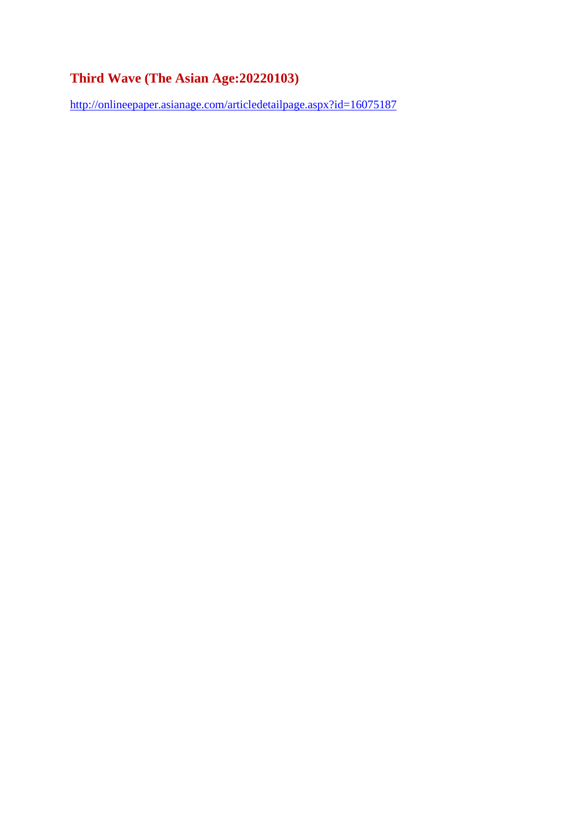# **Third Wave (The Asian Age:20220103)**

http://onlineepaper.asianage.com/articledetailpage.aspx?id=16075187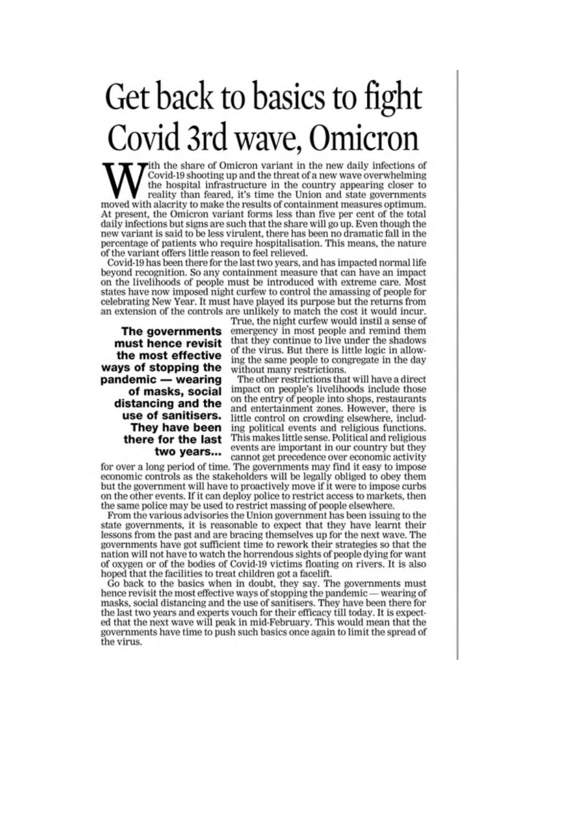# Get back to basics to fight Covid 3rd wave, Omicron

ith the share of Omicron variant in the new daily infections of Covid-19 shooting up and the threat of a new wave overwhelming the hospital infrastructure in the country appearing closer to reality than feared, it's time the Union and state governments moved with alacrity to make the results of containment measures optimum. At present, the Omicron variant forms less than five per cent of the total daily infections but signs are such that the share will go up. Even though the new variant is said to be less virulent, there has been no dramatic fall in the percentage of patients who require hospitalisation. This means, the nature of the variant offers little reason to feel relieved.

Covid-19 has been there for the last two years, and has impacted normal life beyond recognition. So any containment measure that can have an impact on the livelihoods of people must be introduced with extreme care. Most states have now imposed night curfew to control the amassing of people for celebrating New Year. It must have played its purpose but the returns from an extension of the controls are unlikely to match the cost it would incur.

The governments must hence revisit the most effective ways of stopping the pandemic - wearing of masks, social distancing and the use of sanitisers. They have been there for the last two years...

True, the night curfew would instil a sense of emergency in most people and remind them that they continue to live under the shadows of the virus. But there is little logic in allowing the same people to congregate in the day without many restrictions.

The other restrictions that will have a direct impact on people's livelihoods include those on the entry of people into shops, restaurants and entertainment zones. However, there is little control on crowding elsewhere, including political events and religious functions. This makes little sense. Political and religious events are important in our country but they cannot get precedence over economic activity

for over a long period of time. The governments may find it easy to impose economic controls as the stakeholders will be legally obliged to obey them but the government will have to proactively move if it were to impose curbs on the other events. If it can deploy police to restrict access to markets, then the same police may be used to restrict massing of people elsewhere.

From the various advisories the Union government has been issuing to the state governments, it is reasonable to expect that they have learnt their lessons from the past and are bracing themselves up for the next wave. The governments have got sufficient time to rework their strategies so that the nation will not have to watch the horrendous sights of people dying for want of oxygen or of the bodies of Covid-19 victims floating on rivers. It is also hoped that the facilities to treat children got a facelift.

Go back to the basics when in doubt, they say. The governments must hence revisit the most effective ways of stopping the pandemic — wearing of masks, social distancing and the use of sanitisers. They have been there for the last two years and experts vouch for their efficacy till today. It is expected that the next wave will peak in mid-February. This would mean that the governments have time to push such basics once again to limit the spread of the virus.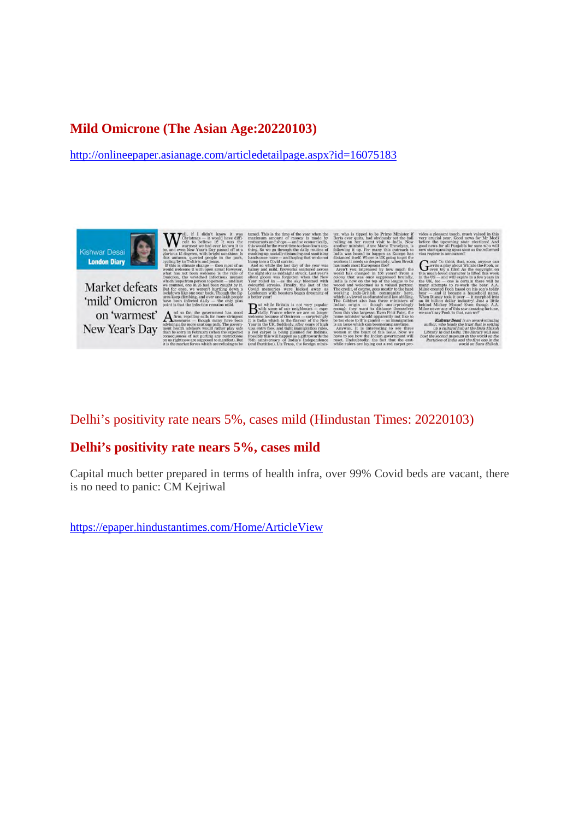## **Mild Omicrone (The Asian Age:20220103)**

http://onlineepaper.asianage.com/articledetailpage.aspx?id=16075183



Market defeats 'mild' Omicron

on 'warmest' A New Year's Day

 $\mathbf{B}^{\text{\tiny{w}}}_{\alpha}$ 

#### Delhi's positivity rate nears 5%, cases mild (Hindustan Times: 20220103)

#### **Delhi's positivity rate nears 5%, cases mild**

Capital much better prepared in terms of health infra, over 99% Covid beds are vacant, there is no need to panic: CM Kejriwal

https://epaper.hindustantimes.com/Home/ArticleView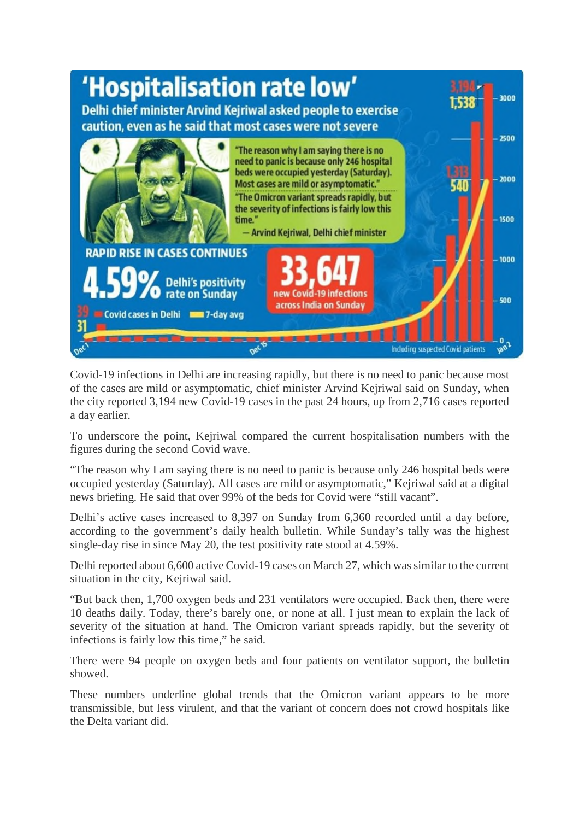

Covid-19 infections in Delhi are increasing rapidly, but there is no need to panic because most of the cases are mild or asymptomatic, chief minister Arvind Kejriwal said on Sunday, when the city reported 3,194 new Covid-19 cases in the past 24 hours, up from 2,716 cases reported a day earlier.

To underscore the point, Kejriwal compared the current hospitalisation numbers with the figures during the second Covid wave.

"The reason why I am saying there is no need to panic is because only 246 hospital beds were occupied yesterday (Saturday). All cases are mild or asymptomatic," Kejriwal said at a digital news briefing. He said that over 99% of the beds for Covid were "still vacant".

Delhi's active cases increased to 8,397 on Sunday from 6,360 recorded until a day before, according to the government's daily health bulletin. While Sunday's tally was the highest single-day rise in since May 20, the test positivity rate stood at 4.59%.

Delhi reported about 6,600 active Covid-19 cases on March 27, which was similar to the current situation in the city, Kejriwal said.

"But back then, 1,700 oxygen beds and 231 ventilators were occupied. Back then, there were 10 deaths daily. Today, there's barely one, or none at all. I just mean to explain the lack of severity of the situation at hand. The Omicron variant spreads rapidly, but the severity of infections is fairly low this time," he said.

There were 94 people on oxygen beds and four patients on ventilator support, the bulletin showed.

These numbers underline global trends that the Omicron variant appears to be more transmissible, but less virulent, and that the variant of concern does not crowd hospitals like the Delta variant did.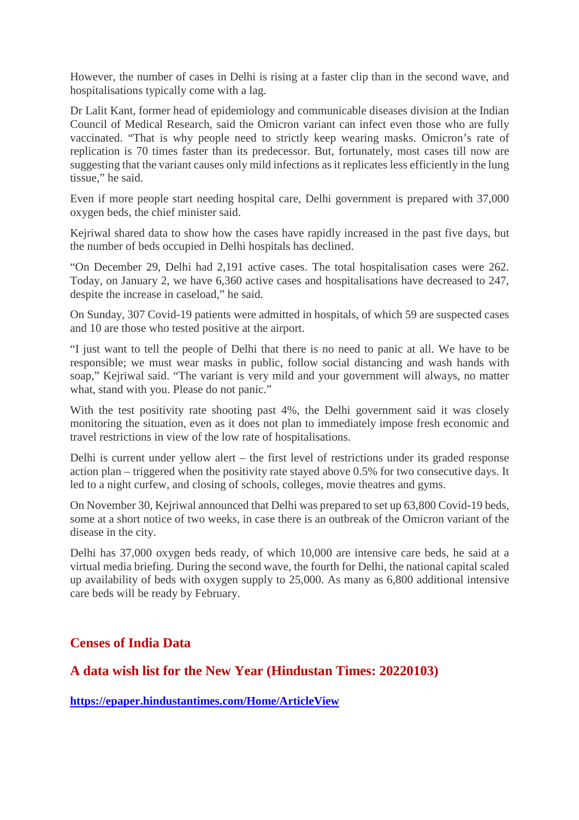However, the number of cases in Delhi is rising at a faster clip than in the second wave, and hospitalisations typically come with a lag.

Dr Lalit Kant, former head of epidemiology and communicable diseases division at the Indian Council of Medical Research, said the Omicron variant can infect even those who are fully vaccinated. "That is why people need to strictly keep wearing masks. Omicron's rate of replication is 70 times faster than its predecessor. But, fortunately, most cases till now are suggesting that the variant causes only mild infections as it replicates less efficiently in the lung tissue," he said.

Even if more people start needing hospital care, Delhi government is prepared with 37,000 oxygen beds, the chief minister said.

Kejriwal shared data to show how the cases have rapidly increased in the past five days, but the number of beds occupied in Delhi hospitals has declined.

"On December 29, Delhi had 2,191 active cases. The total hospitalisation cases were 262. Today, on January 2, we have 6,360 active cases and hospitalisations have decreased to 247, despite the increase in caseload," he said.

On Sunday, 307 Covid-19 patients were admitted in hospitals, of which 59 are suspected cases and 10 are those who tested positive at the airport.

"I just want to tell the people of Delhi that there is no need to panic at all. We have to be responsible; we must wear masks in public, follow social distancing and wash hands with soap," Kejriwal said. "The variant is very mild and your government will always, no matter what, stand with you. Please do not panic."

With the test positivity rate shooting past 4%, the Delhi government said it was closely monitoring the situation, even as it does not plan to immediately impose fresh economic and travel restrictions in view of the low rate of hospitalisations.

Delhi is current under yellow alert – the first level of restrictions under its graded response action plan – triggered when the positivity rate stayed above 0.5% for two consecutive days. It led to a night curfew, and closing of schools, colleges, movie theatres and gyms.

On November 30, Kejriwal announced that Delhi was prepared to set up 63,800 Covid-19 beds, some at a short notice of two weeks, in case there is an outbreak of the Omicron variant of the disease in the city.

Delhi has 37,000 oxygen beds ready, of which 10,000 are intensive care beds, he said at a virtual media briefing. During the second wave, the fourth for Delhi, the national capital scaled up availability of beds with oxygen supply to 25,000. As many as 6,800 additional intensive care beds will be ready by February.

#### **Censes of India Data**

#### **A data wish list for the New Year (Hindustan Times: 20220103)**

**https://epaper.hindustantimes.com/Home/ArticleView**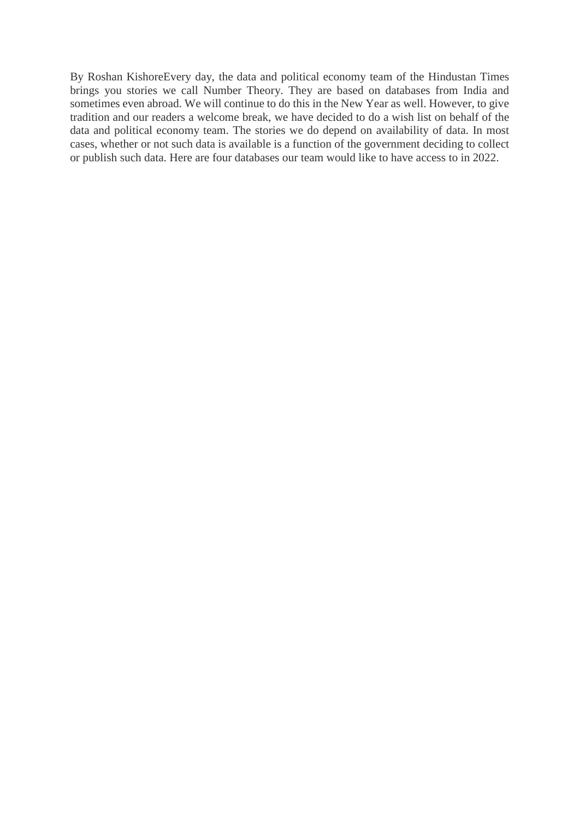By Roshan KishoreEvery day, the data and political economy team of the Hindustan Times brings you stories we call Number Theory. They are based on databases from India and sometimes even abroad. We will continue to do this in the New Year as well. However, to give tradition and our readers a welcome break, we have decided to do a wish list on behalf of the data and political economy team. The stories we do depend on availability of data. In most cases, whether or not such data is available is a function of the government deciding to collect or publish such data. Here are four databases our team would like to have access to in 2022.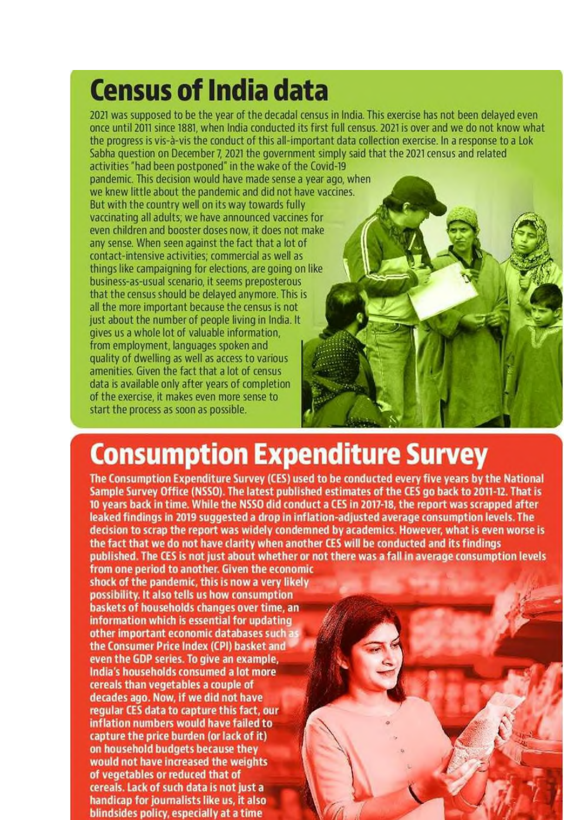# **Census of India data**

2021 was supposed to be the year of the decadal census in India. This exercise has not been delayed even once until 2011 since 1881, when India conducted its first full census, 2021 is over and we do not know what the progress is vis-à-vis the conduct of this all-important data collection exercise. In a response to a Lok Sabha question on December 7, 2021 the government simply said that the 2021 census and related activities "had been postponed" in the wake of the Covid-19

pandemic. This decision would have made sense a year ago, when we knew little about the pandemic and did not have vaccines. But with the country well on its way towards fully vaccinating all adults; we have announced vaccines for even children and booster doses now, it does not make any sense. When seen against the fact that a lot of contact-intensive activities; commercial as well as things like campaigning for elections, are going on like business-as-usual scenario, it seems preposterous that the census should be delayed anymore. This is all the more important because the census is not just about the number of people living in India. It gives us a whole lot of valuable information. from employment, languages spoken and quality of dwelling as well as access to various amenities. Given the fact that a lot of census data is available only after years of completion of the exercise, it makes even more sense to start the process as soon as possible.

# **Consumption Expenditure Survey**

The Consumption Expenditure Survey (CES) used to be conducted every five years by the National Sample Survey Office (NSSO). The latest published estimates of the CES go back to 2011-12. That is 10 years back in time. While the NSSO did conduct a CES in 2017-18, the report was scrapped after leaked findings in 2019 suggested a drop in inflation-adjusted average consumption levels. The decision to scrap the report was widely condemned by academics. However, what is even worse is the fact that we do not have clarity when another CES will be conducted and its findings published. The CES is not just about whether or not there was a fall in average consumption levels

from one period to another. Given the economic shock of the pandemic, this is now a very likely possibility. It also tells us how consumption baskets of households changes over time, an information which is essential for updating other important economic databases such a the Consumer Price Index (CPI) basket and even the GDP series. To give an example, India's households consumed a lot more cereals than vegetables a couple of decades ago. Now, if we did not have regular CES data to capture this fact, our inflation numbers would have failed to capture the price burden (or lack of it) on household budgets because they would not have increased the weights of vegetables or reduced that of cereals. Lack of such data is not just a handicap for journalists like us, it also blindsides policy, especially at a time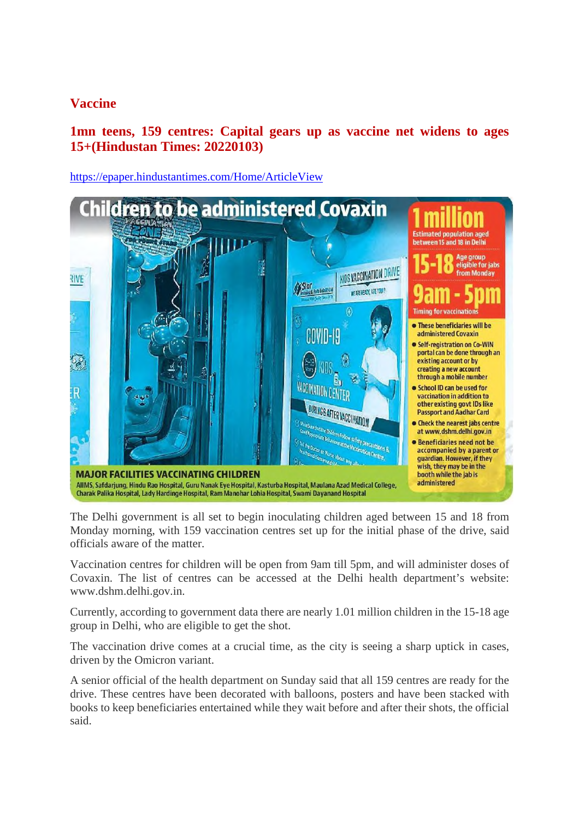# **Vaccine**

# **1mn teens, 159 centres: Capital gears up as vaccine net widens to ages 15+(Hindustan Times: 20220103)**

https://epaper.hindustantimes.com/Home/ArticleView



The Delhi government is all set to begin inoculating children aged between 15 and 18 from Monday morning, with 159 vaccination centres set up for the initial phase of the drive, said officials aware of the matter.

Vaccination centres for children will be open from 9am till 5pm, and will administer doses of Covaxin. The list of centres can be accessed at the Delhi health department's website: www.dshm.delhi.gov.in.

Currently, according to government data there are nearly 1.01 million children in the 15-18 age group in Delhi, who are eligible to get the shot.

The vaccination drive comes at a crucial time, as the city is seeing a sharp uptick in cases, driven by the Omicron variant.

A senior official of the health department on Sunday said that all 159 centres are ready for the drive. These centres have been decorated with balloons, posters and have been stacked with books to keep beneficiaries entertained while they wait before and after their shots, the official said.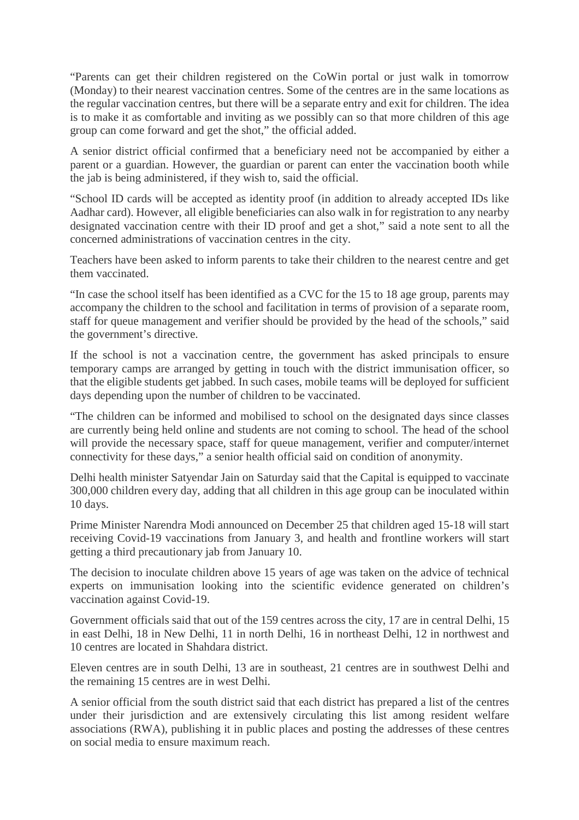"Parents can get their children registered on the CoWin portal or just walk in tomorrow (Monday) to their nearest vaccination centres. Some of the centres are in the same locations as the regular vaccination centres, but there will be a separate entry and exit for children. The idea is to make it as comfortable and inviting as we possibly can so that more children of this age group can come forward and get the shot," the official added.

A senior district official confirmed that a beneficiary need not be accompanied by either a parent or a guardian. However, the guardian or parent can enter the vaccination booth while the jab is being administered, if they wish to, said the official.

"School ID cards will be accepted as identity proof (in addition to already accepted IDs like Aadhar card). However, all eligible beneficiaries can also walk in for registration to any nearby designated vaccination centre with their ID proof and get a shot," said a note sent to all the concerned administrations of vaccination centres in the city.

Teachers have been asked to inform parents to take their children to the nearest centre and get them vaccinated.

"In case the school itself has been identified as a CVC for the 15 to 18 age group, parents may accompany the children to the school and facilitation in terms of provision of a separate room, staff for queue management and verifier should be provided by the head of the schools," said the government's directive.

If the school is not a vaccination centre, the government has asked principals to ensure temporary camps are arranged by getting in touch with the district immunisation officer, so that the eligible students get jabbed. In such cases, mobile teams will be deployed for sufficient days depending upon the number of children to be vaccinated.

"The children can be informed and mobilised to school on the designated days since classes are currently being held online and students are not coming to school. The head of the school will provide the necessary space, staff for queue management, verifier and computer/internet connectivity for these days," a senior health official said on condition of anonymity.

Delhi health minister Satyendar Jain on Saturday said that the Capital is equipped to vaccinate 300,000 children every day, adding that all children in this age group can be inoculated within 10 days.

Prime Minister Narendra Modi announced on December 25 that children aged 15-18 will start receiving Covid-19 vaccinations from January 3, and health and frontline workers will start getting a third precautionary jab from January 10.

The decision to inoculate children above 15 years of age was taken on the advice of technical experts on immunisation looking into the scientific evidence generated on children's vaccination against Covid-19.

Government officials said that out of the 159 centres across the city, 17 are in central Delhi, 15 in east Delhi, 18 in New Delhi, 11 in north Delhi, 16 in northeast Delhi, 12 in northwest and 10 centres are located in Shahdara district.

Eleven centres are in south Delhi, 13 are in southeast, 21 centres are in southwest Delhi and the remaining 15 centres are in west Delhi.

A senior official from the south district said that each district has prepared a list of the centres under their jurisdiction and are extensively circulating this list among resident welfare associations (RWA), publishing it in public places and posting the addresses of these centres on social media to ensure maximum reach.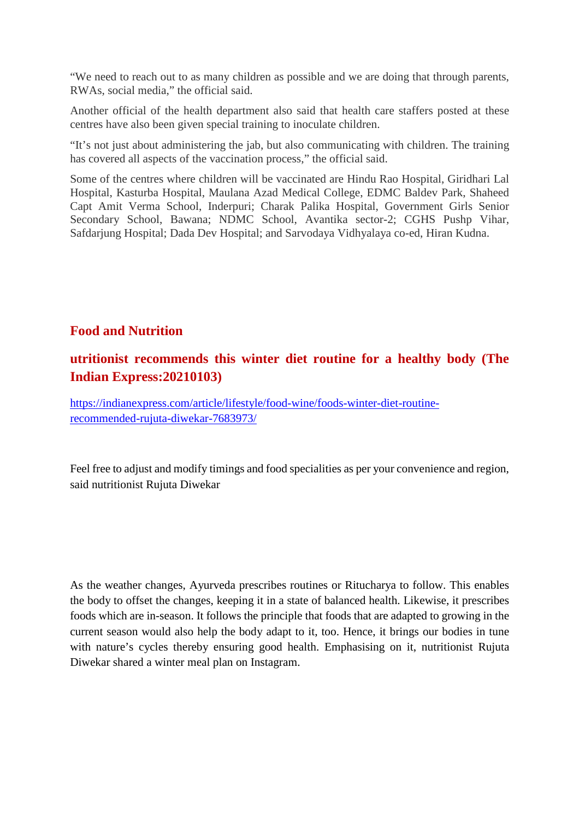"We need to reach out to as many children as possible and we are doing that through parents, RWAs, social media," the official said.

Another official of the health department also said that health care staffers posted at these centres have also been given special training to inoculate children.

"It's not just about administering the jab, but also communicating with children. The training has covered all aspects of the vaccination process," the official said.

Some of the centres where children will be vaccinated are Hindu Rao Hospital, Giridhari Lal Hospital, Kasturba Hospital, Maulana Azad Medical College, EDMC Baldev Park, Shaheed Capt Amit Verma School, Inderpuri; Charak Palika Hospital, Government Girls Senior Secondary School, Bawana; NDMC School, Avantika sector-2; CGHS Pushp Vihar, Safdarjung Hospital; Dada Dev Hospital; and Sarvodaya Vidhyalaya co-ed, Hiran Kudna.

#### **Food and Nutrition**

# **utritionist recommends this winter diet routine for a healthy body (The Indian Express:20210103)**

https://indianexpress.com/article/lifestyle/food-wine/foods-winter-diet-routinerecommended-rujuta-diwekar-7683973/

Feel free to adjust and modify timings and food specialities as per your convenience and region, said nutritionist Rujuta Diwekar

As the weather changes, Ayurveda prescribes routines or Ritucharya to follow. This enables the body to offset the changes, keeping it in a state of balanced health. Likewise, it prescribes foods which are in-season. It follows the principle that foods that are adapted to growing in the current season would also help the body adapt to it, too. Hence, it brings our bodies in tune with nature's cycles thereby ensuring good health. Emphasising on it, nutritionist Rujuta Diwekar shared a winter meal plan on Instagram.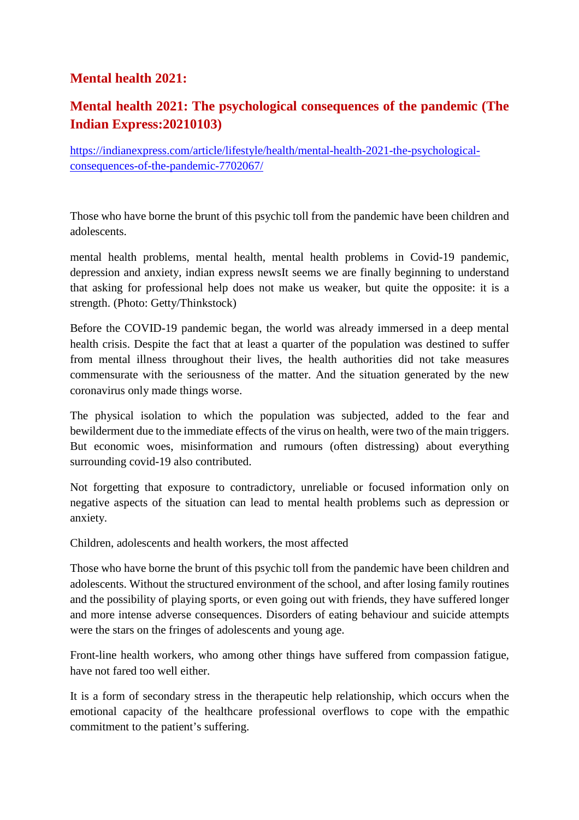# **Mental health 2021:**

# **Mental health 2021: The psychological consequences of the pandemic (The Indian Express:20210103)**

https://indianexpress.com/article/lifestyle/health/mental-health-2021-the-psychologicalconsequences-of-the-pandemic-7702067/

Those who have borne the brunt of this psychic toll from the pandemic have been children and adolescents.

mental health problems, mental health, mental health problems in Covid-19 pandemic, depression and anxiety, indian express newsIt seems we are finally beginning to understand that asking for professional help does not make us weaker, but quite the opposite: it is a strength. (Photo: Getty/Thinkstock)

Before the COVID-19 pandemic began, the world was already immersed in a deep mental health crisis. Despite the fact that at least a quarter of the population was destined to suffer from mental illness throughout their lives, the health authorities did not take measures commensurate with the seriousness of the matter. And the situation generated by the new coronavirus only made things worse.

The physical isolation to which the population was subjected, added to the fear and bewilderment due to the immediate effects of the virus on health, were two of the main triggers. But economic woes, misinformation and rumours (often distressing) about everything surrounding covid-19 also contributed.

Not forgetting that exposure to contradictory, unreliable or focused information only on negative aspects of the situation can lead to mental health problems such as depression or anxiety.

Children, adolescents and health workers, the most affected

Those who have borne the brunt of this psychic toll from the pandemic have been children and adolescents. Without the structured environment of the school, and after losing family routines and the possibility of playing sports, or even going out with friends, they have suffered longer and more intense adverse consequences. Disorders of eating behaviour and suicide attempts were the stars on the fringes of adolescents and young age.

Front-line health workers, who among other things have suffered from compassion fatigue, have not fared too well either.

It is a form of secondary stress in the therapeutic help relationship, which occurs when the emotional capacity of the healthcare professional overflows to cope with the empathic commitment to the patient's suffering.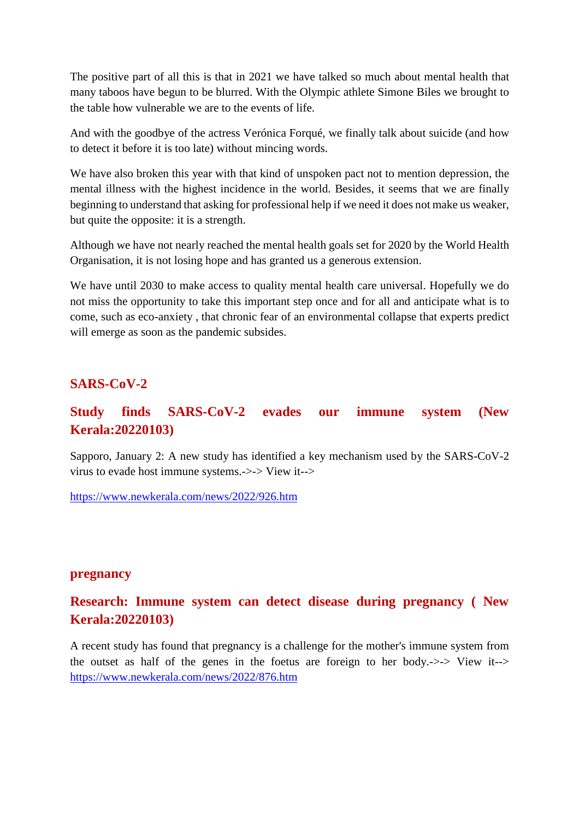The positive part of all this is that in 2021 we have talked so much about mental health that many taboos have begun to be blurred. With the Olympic athlete Simone Biles we brought to the table how vulnerable we are to the events of life.

And with the goodbye of the actress Verónica Forqué, we finally talk about suicide (and how to detect it before it is too late) without mincing words.

We have also broken this year with that kind of unspoken pact not to mention depression, the mental illness with the highest incidence in the world. Besides, it seems that we are finally beginning to understand that asking for professional help if we need it does not make us weaker, but quite the opposite: it is a strength.

Although we have not nearly reached the mental health goals set for 2020 by the World Health Organisation, it is not losing hope and has granted us a generous extension.

We have until 2030 to make access to quality mental health care universal. Hopefully we do not miss the opportunity to take this important step once and for all and anticipate what is to come, such as eco-anxiety , that chronic fear of an environmental collapse that experts predict will emerge as soon as the pandemic subsides.

#### **SARS-CoV-2**

# **Study finds SARS-CoV-2 evades our immune system (New Kerala:20220103)**

Sapporo, January 2: A new study has identified a key mechanism used by the SARS-CoV-2 virus to evade host immune systems.->-> View it-->

https://www.newkerala.com/news/2022/926.htm

#### **pregnancy**

# **Research: Immune system can detect disease during pregnancy ( New Kerala:20220103)**

A recent study has found that pregnancy is a challenge for the mother's immune system from the outset as half of the genes in the foetus are foreign to her body.->-> View it--> https://www.newkerala.com/news/2022/876.htm